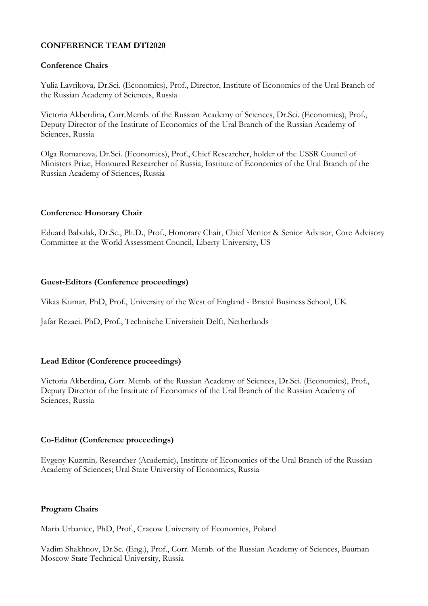## **CONFERENCE TEAM DTI2020**

## **Conference Chairs**

Yulia Lavrikova*,* Dr.Sci. (Economics), Prof., Director, Institute of Economics of the Ural Branch of the Russian Academy of Sciences, Russia

Victoria Akberdina*,* Corr.Memb. of the Russian Academy of Sciences, Dr.Sci. (Economics), Prof., Deputy Director of the Institute of Economics of the Ural Branch of the Russian Academy of Sciences, Russia

Olga Romanova*,* Dr.Sci. (Economics), Prof., Chief Researcher, holder of the USSR Council of Ministers Prize, Honoured Researcher of Russia, Institute of Economics of the Ural Branch of the Russian Academy of Sciences, Russia

## **Conference Honorary Chair**

Eduard Babulak*,* Dr.Sc., Ph.D., Prof., Honorary Chair, Chief Mentor & Senior Advisor, Core Advisory Committee at the World Assessment Council, Liberty University, US

### **Guest-Editors (Conference proceedings)**

Vikas Kumar*,* PhD, Prof., University of the West of England - Bristol Business School, UK

Jafar Rezaei*,* PhD, Prof., Technische Universiteit Delft, Netherlands

## **Lead Editor (Conference proceedings)**

Victoria Akberdina*, C*orr. Memb. of the Russian Academy of Sciences, Dr.Sci. (Economics), Prof., Deputy Director of the Institute of Economics of the Ural Branch of the Russian Academy of Sciences, Russia

## **Co-Editor (Conference proceedings)**

Evgeny Kuzmin*,* Researcher (Academic), Institute of Economics of the Ural Branch of the Russian Academy of Sciences; Ural State University of Economics, Russia

#### **Program Chairs**

Maria Urbaniec*,* PhD, Prof., Cracow University of Economics, Poland

Vadim Shakhnov, Dr.Sc. (Eng.), Prof., Corr. Memb. of the Russian Academy of Sciences, Bauman Moscow State Technical University, Russia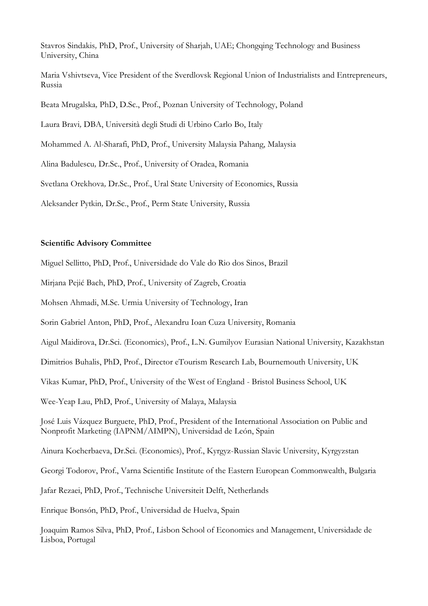Stavros Sindakis*,* PhD, Prof., University of Sharjah, UAE; Chongqing Technology and Business University, China

Maria Vshivtseva, Vice President of the Sverdlovsk Regional Union of Industrialists and Entrepreneurs, Russia

Beata Mrugalska*,* PhD, D.Sc., Prof., Poznan University of Technology, Poland

Laura Bravi*,* DBA, Università degli Studi di Urbino Carlo Bo, Italy

Mohammed A. Al-Sharafi, PhD, Prof., University Malaysia Pahang, Malaysia

Alina Badulescu*,* Dr.Sc., Prof., University of Oradea, Romania

Svetlana Orekhova*,* Dr.Sc., Prof., Ural State University of Economics, Russia

Aleksander Pytkin*,* Dr.Sc., Prof., Perm State University, Russia

### **Scientific Advisory Committee**

Miguel Sellitto, PhD, Prof., Universidade do Vale do Rio dos Sinos, Brazil

Mirjana Pejić Bach, PhD, Prof., University of Zagreb, Croatia

Mohsen Ahmadi, M.Sc. Urmia University of Technology, Iran

Sorin Gabriel Anton, PhD, Prof., Alexandru Ioan Cuza University, Romania

Aigul Maidirova, Dr.Sci. (Economics), Prof., L.N. Gumilyov Eurasian National University, Kazakhstan

Dimitrios Buhalis, PhD, Prof., Director eTourism Research Lab, Bournemouth University, UK

Vikas Kumar, PhD, Prof., University of the West of England - Bristol Business School, UK

Wee-Yeap Lau, PhD, Prof., University of Malaya, Malaysia

José Luis Vázquez Burguete, PhD, Prof., President of the International Association on Public and Nonprofit Marketing (IAPNM/AIMPN), Universidad de León, Spain

Ainura Kocherbaeva, Dr.Sci. (Economics), Prof., Kyrgyz-Russian Slavic University, Kyrgyzstan

Georgi Todorov, Prof., Varna Scientific Institute of the Eastern European Commonwealth, Bulgaria

Jafar Rezaei, PhD, Prof., Technische Universiteit Delft, Netherlands

Enrique Bonsón, PhD, Prof., Universidad de Huelva, Spain

Joaquim Ramos Silva, PhD, Prof., Lisbon School of Economics and Management, Universidade de Lisboa, Portugal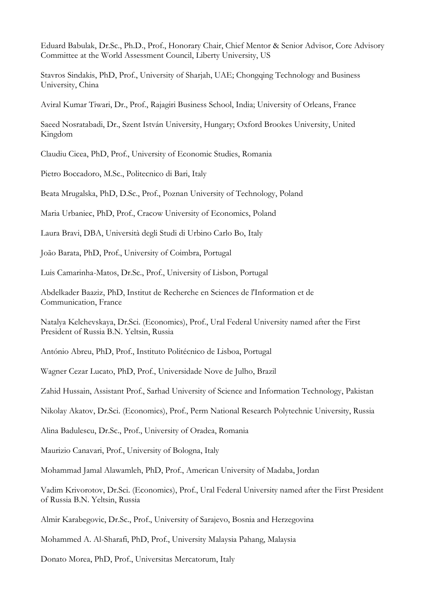Eduard Babulak, Dr.Sc., Ph.D., Prof., Honorary Chair, Chief Mentor & Senior Advisor, Core Advisory Committee at the World Assessment Council, Liberty University, US

Stavros Sindakis, PhD, Prof., University of Sharjah, UAE; Chongqing Technology and Business University, China

Aviral Kumar Tiwari, Dr., Prof., Rajagiri Business School, India; University of Orleans, France

Saeed Nosratabadi, Dr., Szent István University, Hungary; Oxford Brookes University, United Kingdom

Claudiu Cicea, PhD, Prof., University of Economic Studies, Romania

Pietro Boccadoro, M.Sc., Politecnico di Bari, Italy

Beata Mrugalska, PhD, D.Sc., Prof., Poznan University of Technology, Poland

Maria Urbaniec, PhD, Prof., Cracow University of Economics, Poland

Laura Bravi, DBA, Università degli Studi di Urbino Carlo Bo, Italy

João Barata, PhD, Prof., University of Coimbra, Portugal

Luis Camarinha-Matos, Dr.Sc., Prof., University of Lisbon, Portugal

Abdelkader Baaziz, PhD, Institut de Recherche en Sciences de l'Information et de Communication, France

Natalya Kelchevskaya, Dr.Sci. (Economics), Prof., Ural Federal University named after the First President of Russia B.N. Yeltsin, Russia

António Abreu, PhD, Prof., Instituto Politécnico de Lisboa, Portugal

Wagner Cezar Lucato, PhD, Prof., Universidade Nove de Julho, Brazil

Zahid Hussain, Assistant Prof., Sarhad University of Science and Information Technology, Pakistan

Nikolay Akatov, Dr.Sci. (Economics), Prof., Perm National Research Polytechnic University, Russia

Alina Badulescu, Dr.Sc., Prof., University of Oradea, Romania

Maurizio Canavari, Prof., University of Bologna, Italy

Mohammad Jamal Alawamleh, PhD, Prof., American University of Madaba, Jordan

Vadim Krivorotov, Dr.Sci. (Economics), Prof., Ural Federal University named after the First President of Russia B.N. Yeltsin, Russia

Almir Karabegovic, Dr.Sc., Prof., University of Sarajevo, Bosnia and Herzegovina

Mohammed A. Al-Sharafi, PhD, Prof., University Malaysia Pahang, Malaysia

Donato Morea, PhD, Prof., Universitas Mercatorum, Italy